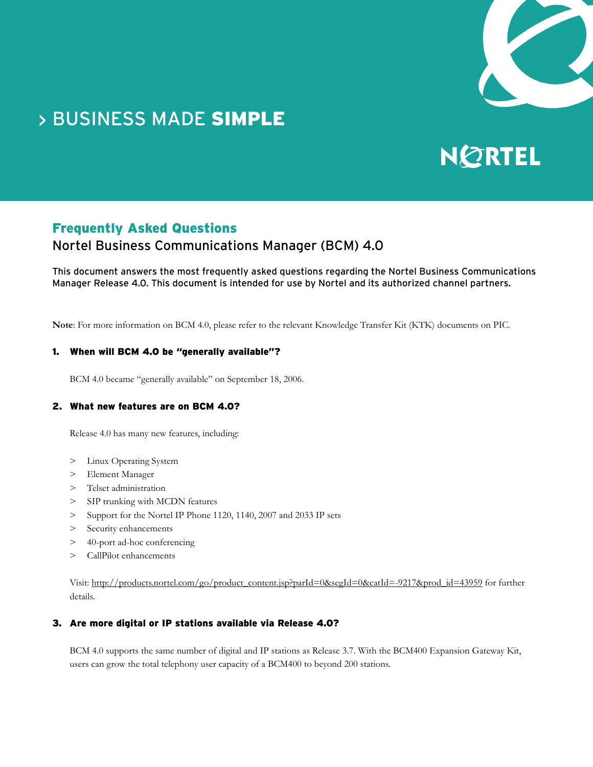

## **> BUSINESS MADE SIMPLE**

# NØRTEL

## Frequently Asked Questions

## Nortel Business Communications Manager (BCM) 4.0

This document answers the most frequently asked questions regarding the Nortel Business Communications Manager Release 4.0. This document is intended for use by Nortel and its authorized channel partners.

**Note**: For more information on BCM 4.0, please refer to the relevant Knowledge Transfer Kit (KTK) documents on PIC.

#### 1. When will BCM 4.0 be "generally available"?

BCM 4.0 became "generally available" on September 18, 2006.

#### 2. What new features are on BCM 4.0?

Release 4.0 has many new features, including:

- > Linux Operating System
- > Element Manager
- > Telset administration
- > SIP trunking with MCDN features
- > Support for the Nortel IP Phone 1120, 1140, 2007 and 2033 IP sets
- > Security enhancements
- > 40-port ad-hoc conferencing
- > CallPilot enhancements

Visit: http://products.nortel.com/go/product\_content.jsp?parId=0&segId=0&catId=-9217&prod\_id=43959 for further details.

#### 3. Are more digital or IP stations available via Release 4.0?

BCM 4.0 supports the same number of digital and IP stations as Release 3.7. With the BCM400 Expansion Gateway Kit, users can grow the total telephony user capacity of a BCM400 to beyond 200 stations.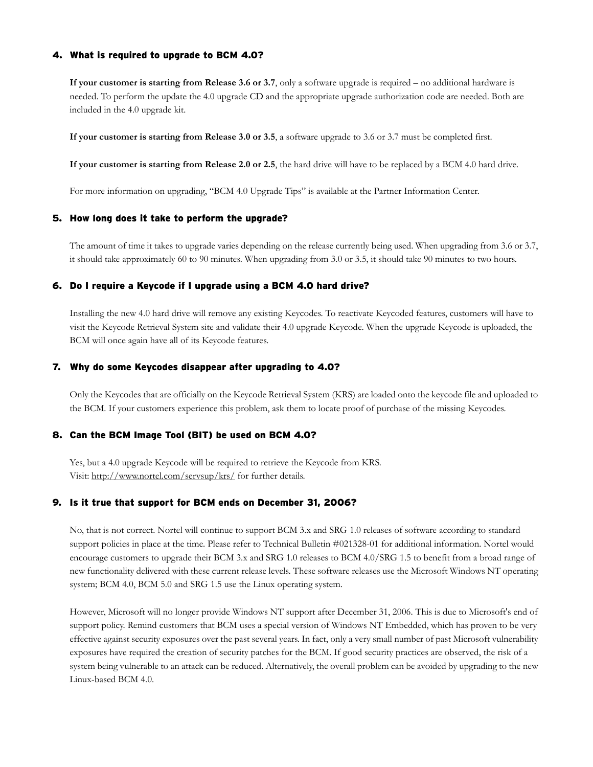#### 4. What is required to upgrade to BCM 4.0?

**If your customer is starting from Release 3.6 or 3.7**, only a software upgrade is required – no additional hardware is needed. To perform the update the 4.0 upgrade CD and the appropriate upgrade authorization code are needed. Both are included in the 4.0 upgrade kit.

**If your customer is starting from Release 3.0 or 3.5**, a software upgrade to 3.6 or 3.7 must be completed first.

**If your customer is starting from Release 2.0 or 2.5**, the hard drive will have to be replaced by a BCM 4.0 hard drive.

For more information on upgrading, "BCM 4.0 Upgrade Tips" is available at the Partner Information Center.

#### 5. How long does it take to perform the upgrade?

The amount of time it takes to upgrade varies depending on the release currently being used. When upgrading from 3.6 or 3.7, it should take approximately 60 to 90 minutes. When upgrading from 3.0 or 3.5, it should take 90 minutes to two hours.

#### 6. Do I require a Keycode if I upgrade using a BCM 4.0 hard drive?

Installing the new 4.0 hard drive will remove any existing Keycodes. To reactivate Keycoded features, customers will have to visit the Keycode Retrieval System site and validate their 4.0 upgrade Keycode. When the upgrade Keycode is uploaded, the BCM will once again have all of its Keycode features.

#### 7. Why do some Keycodes disappear after upgrading to 4.0?

Only the Keycodes that are officially on the Keycode Retrieval System (KRS) are loaded onto the keycode file and uploaded to the BCM. If your customers experience this problem, ask them to locate proof of purchase of the missing Keycodes.

#### 8. Can the BCM Image Tool (BIT) be used on BCM 4.0?

Yes, but a 4.0 upgrade Keycode will be required to retrieve the Keycode from KRS. Visit: http://www.nortel.com/servsup/krs/ for further details.

#### 9. Is it true that support for BCM ends on December 31, 2006?

No, that is not correct. Nortel will continue to support BCM 3.x and SRG 1.0 releases of software according to standard support policies in place at the time. Please refer to Technical Bulletin #021328-01 for additional information. Nortel would encourage customers to upgrade their BCM 3.x and SRG 1.0 releases to BCM 4.0/SRG 1.5 to benefit from a broad range of new functionality delivered with these current release levels. These software releases use the Microsoft Windows NT operating system; BCM 4.0, BCM 5.0 and SRG 1.5 use the Linux operating system.

However, Microsoft will no longer provide Windows NT support after December 31, 2006. This is due to Microsoft's end of support policy. Remind customers that BCM uses a special version of Windows NT Embedded, which has proven to be very effective against security exposures over the past several years. In fact, only a very small number of past Microsoft vulnerability exposures have required the creation of security patches for the BCM. If good security practices are observed, the risk of a system being vulnerable to an attack can be reduced. Alternatively, the overall problem can be avoided by upgrading to the new Linux-based BCM 4.0.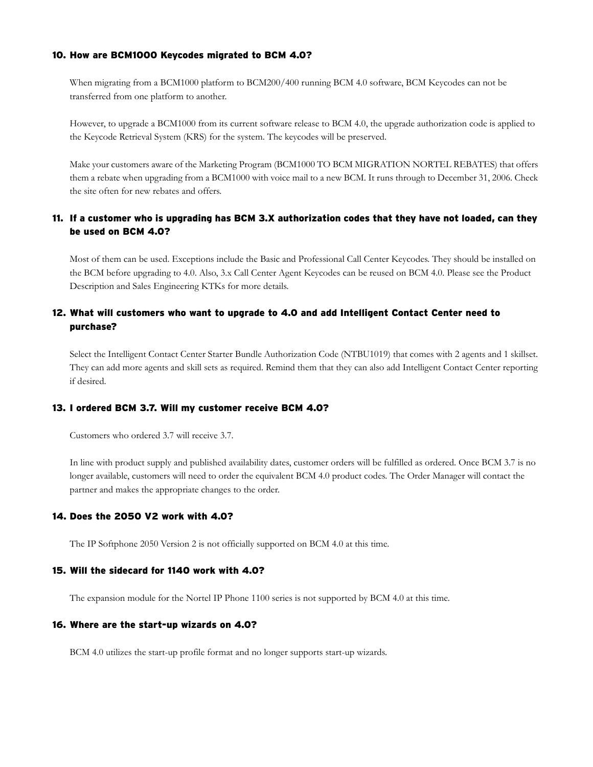#### 10. How are BCM1000 Keycodes migrated to BCM 4.0?

When migrating from a BCM1000 platform to BCM200/400 running BCM 4.0 software, BCM Keycodes can not be transferred from one platform to another.

However, to upgrade a BCM1000 from its current software release to BCM 4.0, the upgrade authorization code is applied to the Keycode Retrieval System (KRS) for the system. The keycodes will be preserved.

Make your customers aware of the Marketing Program (BCM1000 TO BCM MIGRATION NORTEL REBATES) that offers them a rebate when upgrading from a BCM1000 with voice mail to a new BCM. It runs through to December 31, 2006. Check the site often for new rebates and offers.

#### 11. If a customer who is upgrading has BCM 3.X authorization codes that they have not loaded, can they be used on BCM 4.0?

Most of them can be used. Exceptions include the Basic and Professional Call Center Keycodes. They should be installed on the BCM before upgrading to 4.0. Also, 3.x Call Center Agent Keycodes can be reused on BCM 4.0. Please see the Product Description and Sales Engineering KTKs for more details.

#### 12. What will customers who want to upgrade to 4.0 and add Intelligent Contact Center need to purchase?

Select the Intelligent Contact Center Starter Bundle Authorization Code (NTBU1019) that comes with 2 agents and 1 skillset. They can add more agents and skill sets as required. Remind them that they can also add Intelligent Contact Center reporting if desired.

#### 13. I ordered BCM 3.7. Will my customer receive BCM 4.0?

Customers who ordered 3.7 will receive 3.7.

In line with product supply and published availability dates, customer orders will be fulfilled as ordered. Once BCM 3.7 is no longer available, customers will need to order the equivalent BCM 4.0 product codes. The Order Manager will contact the partner and makes the appropriate changes to the order.

#### 14. Does the 2050 V2 work with 4.0?

The IP Softphone 2050 Version 2 is not officially supported on BCM 4.0 at this time.

#### 15. Will the sidecard for 1140 work with 4.0?

The expansion module for the Nortel IP Phone 1100 series is not supported by BCM 4.0 at this time.

#### 16. Where are the start-up wizards on 4.0?

BCM 4.0 utilizes the start-up profile format and no longer supports start-up wizards.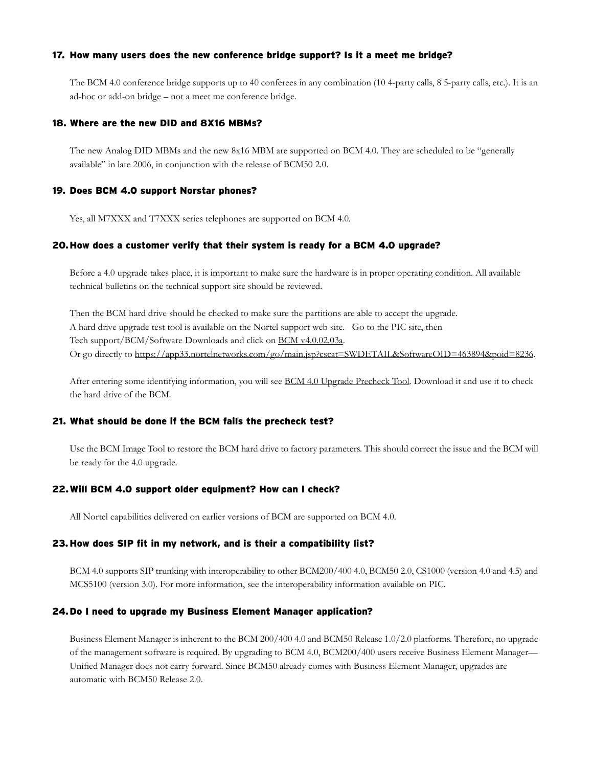#### 17. How many users does the new conference bridge support? Is it a meet me bridge?

The BCM 4.0 conference bridge supports up to 40 conferees in any combination (10 4-party calls, 8 5-party calls, etc.). It is an ad-hoc or add-on bridge – not a meet me conference bridge.

#### 18. Where are the new DID and 8X16 MBMs?

The new Analog DID MBMs and the new 8x16 MBM are supported on BCM 4.0. They are scheduled to be "generally available" in late 2006, in conjunction with the release of BCM50 2.0.

#### 19. Does BCM 4.0 support Norstar phones?

Yes, all M7XXX and T7XXX series telephones are supported on BCM 4.0.

#### 20.How does a customer verify that their system is ready for a BCM 4.0 upgrade?

Before a 4.0 upgrade takes place, it is important to make sure the hardware is in proper operating condition. All available technical bulletins on the technical support site should be reviewed.

Then the BCM hard drive should be checked to make sure the partitions are able to accept the upgrade. A hard drive upgrade test tool is available on the Nortel support web site. Go to the PIC site, then Tech support/BCM/Software Downloads and click on BCM v4.0.02.03a. Or go directly to https://app33.nortelnetworks.com/go/main.jsp?cscat=SWDETAIL&SoftwareOID=463894&poid=8236.

After entering some identifying information, you will see BCM 4.0 Upgrade Precheck Tool. Download it and use it to check the hard drive of the BCM.

#### 21. What should be done if the BCM fails the precheck test?

Use the BCM Image Tool to restore the BCM hard drive to factory parameters. This should correct the issue and the BCM will be ready for the 4.0 upgrade.

#### 22.Will BCM 4.0 support older equipment? How can I check?

All Nortel capabilities delivered on earlier versions of BCM are supported on BCM 4.0.

#### 23.How does SIP fit in my network, and is their a compatibility list?

BCM 4.0 supports SIP trunking with interoperability to other BCM200/400 4.0, BCM50 2.0, CS1000 (version 4.0 and 4.5) and MCS5100 (version 3.0). For more information, see the interoperability information available on PIC.

#### 24.Do I need to upgrade my Business Element Manager application?

Business Element Manager is inherent to the BCM 200/400 4.0 and BCM50 Release 1.0/2.0 platforms. Therefore, no upgrade of the management software is required. By upgrading to BCM 4.0, BCM200/400 users receive Business Element Manager— Unified Manager does not carry forward. Since BCM50 already comes with Business Element Manager, upgrades are automatic with BCM50 Release 2.0.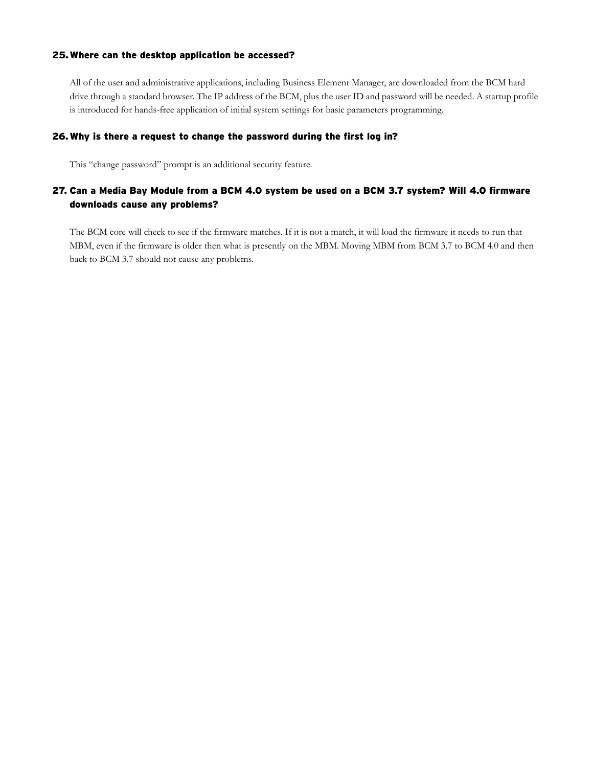#### 25.Where can the desktop application be accessed?

All of the user and administrative applications, including Business Element Manager, are downloaded from the BCM hard drive through a standard browser. The IP address of the BCM, plus the user ID and password will be needed. A startup profile is introduced for hands-free application of initial system settings for basic parameters programming.

#### 26.Why is there a request to change the password during the first log in?

This "change password" prompt is an additional security feature.

#### 27. Can a Media Bay Module from a BCM 4.0 system be used on a BCM 3.7 system? Will 4.0 firmware downloads cause any problems?

The BCM core will check to see if the firmware matches. If it is not a match, it will load the firmware it needs to run that MBM, even if the firmware is older then what is presently on the MBM. Moving MBM from BCM 3.7 to BCM 4.0 and then back to BCM 3.7 should not cause any problems.